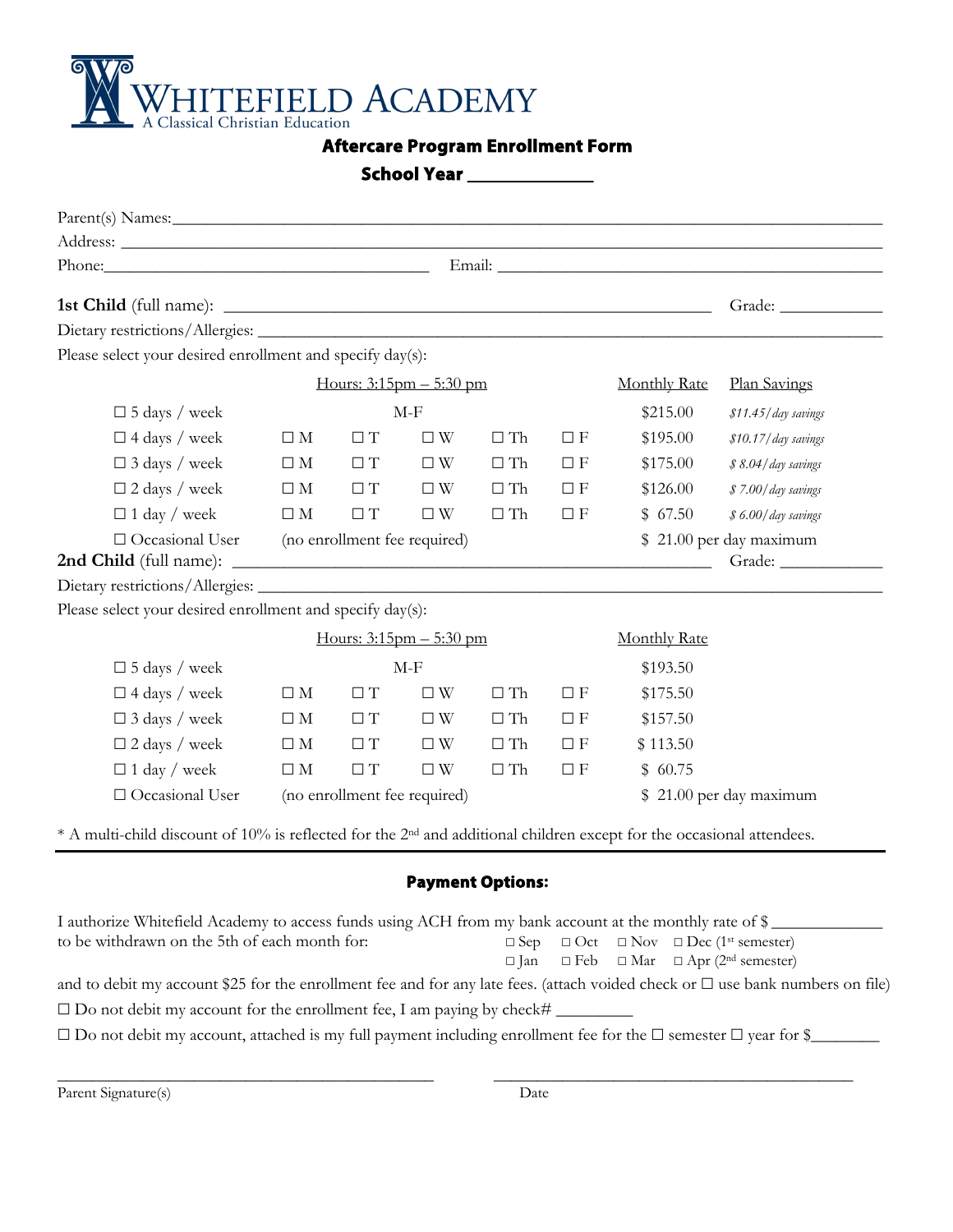

**Aftercare Program Enrollment Form** 

| <b>School Year</b> |  |
|--------------------|--|
|--------------------|--|

| Phone: Email: Email:                                      |                |                                                    |                              |                     |                 |                                                                                                                                     |                         |
|-----------------------------------------------------------|----------------|----------------------------------------------------|------------------------------|---------------------|-----------------|-------------------------------------------------------------------------------------------------------------------------------------|-------------------------|
|                                                           |                |                                                    |                              |                     |                 |                                                                                                                                     |                         |
|                                                           |                |                                                    |                              |                     |                 |                                                                                                                                     |                         |
| Please select your desired enrollment and specify day(s): |                |                                                    |                              |                     |                 |                                                                                                                                     |                         |
|                                                           |                | Hours: $3:15$ pm $-5:30$ pm<br><b>Monthly Rate</b> |                              |                     |                 |                                                                                                                                     | Plan Savings            |
| $\Box$ 5 days / week                                      |                | $M-F$                                              |                              |                     | \$215.00        | \$11.45/day savings                                                                                                                 |                         |
| $\square$ 4 days / week                                   | $\square$ M    | $\Box$ $T$                                         | $\square$ W                  | $\Box$<br>Th        | $\Box$<br><br>F | \$195.00                                                                                                                            | \$10.17/day savings     |
| $\Box$ 3 days / week                                      | $\square$ M    | $\Box T$                                           | $\Box$ W                     | $\Box$ Th           | $\Box$<br><br>F | \$175.00                                                                                                                            | \$ 8.04/day savings     |
| $\Box$ 2 days / week                                      | $\square$ M    | $\Box T$                                           | $\square$ W                  | $\Box$ Th           | $\Box F$        | \$126.00                                                                                                                            | \$7.00/day savings      |
| $\Box$ 1 day / week                                       | $\Box$ M       | $\Box T$                                           | $\square$ W                  | $\Box$ Th           | $\Box F$        | \$67.50                                                                                                                             | \$ 6.00/day savings     |
| □ Occasional User                                         |                | (no enrollment fee required)                       |                              |                     |                 |                                                                                                                                     | \$21.00 per day maximum |
|                                                           |                |                                                    |                              |                     |                 |                                                                                                                                     |                         |
| Please select your desired enrollment and specify day(s): |                |                                                    |                              |                     |                 |                                                                                                                                     |                         |
|                                                           |                | Hours: $3:15$ pm $-5:30$ pm                        |                              |                     |                 | <b>Monthly Rate</b>                                                                                                                 |                         |
| $\square$ 5 days / week                                   |                | $M-F$                                              |                              |                     | \$193.50        |                                                                                                                                     |                         |
| $\square$ 4 days / week                                   | $\square$<br>M | $\Box T$                                           | $\square$ W                  | $\Box$ Th           | $\Box F$        | \$175.50                                                                                                                            |                         |
| $\Box$ 3 days / week                                      | $\square$ M    | $\Box T$                                           | $\square$ W                  | $\Box$ Th           | $\Box F$        | \$157.50                                                                                                                            |                         |
| $\Box$ 2 days / week                                      | $\square$ M    | $\Box T$                                           | $\square$ W                  | $\Box$ Th           | $\Box F$        | \$113.50                                                                                                                            |                         |
| $\Box$ 1 day / week                                       | $\Box$ M       | $\Box T$                                           | $\Box$ W                     | $\hfill \Box$<br>Th | $\Box F$        | \$60.75                                                                                                                             |                         |
| □ Occasional User                                         |                |                                                    | (no enrollment fee required) |                     |                 |                                                                                                                                     | \$21.00 per day maximum |
|                                                           |                |                                                    |                              |                     |                 | $*$ A multi-child discount of 10% is reflected for the 2 <sup>nd</sup> and additional children except for the occasional attendees. |                         |

☐ Jan ☐ Feb ☐ Mar ☐ Apr (2nd semester) and to debit my account \$25 for the enrollment fee and for any late fees. (attach voided check or  $\Box$  use bank numbers on file)  $\square$  Do not debit my account for the enrollment fee, I am paying by check#  $\_$ 

☐ Do not debit my account, attached is my full payment including enrollment fee for the ☐ semester ☐ year for \$\_\_\_\_\_\_\_\_

\_\_\_\_\_\_\_\_\_\_\_\_\_\_\_\_\_\_\_\_\_\_\_\_\_\_\_\_\_\_\_\_\_\_\_\_\_\_\_\_\_\_\_\_ \_\_\_\_\_\_\_\_\_\_\_\_\_\_\_\_\_\_\_\_\_\_\_\_\_\_\_\_\_\_\_\_\_\_\_\_\_\_\_\_\_\_